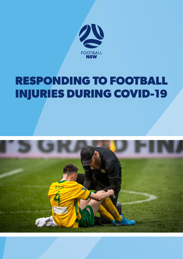

# **RESPONDING TO FOOTBALL INJURIES DURING COVID-19**

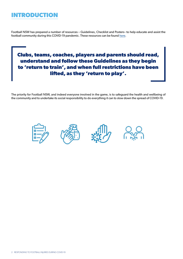## **INTRODUCTION**

Football NSW has prepared a number of resources – Guidelines, Checklist and Posters– to help educate and assist the football community during this COVID-19 pandemic. These resources can be found [here.](https://footballnsw.com.au/return-to-training/)

#### **Clubs, teams, coaches, players and parents should read, understand and follow these Guidelines as they begin to 'return to train', and when full restrictions have been lifted, as they 'return to play'.**

The priority for Football NSW, and indeed everyone involved in the game, is to safeguard the health and wellbeing of the community and to undertake its social responsibility to do everything it can to slow down the spread of COVID-19.









2 RESPONDING TO FOOTBALL INJURIES DURING COVID-19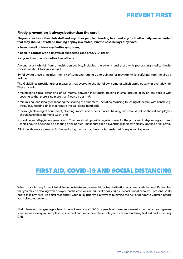

#### **Firstly, prevention is always better than the cure!**

**Players, coaches, other club staff and any other people intending to attend any football activity are reminded that they should not attend training or play in a match, if in the past 14 days they have:**

- **been unwell or have any flu-like symptoms;**
- **been in contact with a known or suspected case of COVID-19; or**
- **any sudden loss of smell or loss of taste.**

Anyone at a high risk from a health perspective, including the elderly, and those with pre-existing medical health conditions should also not attend.

By following these principles, the risk of someone turning up to training (or playing) whilst suffering from the virus is reduced.

The Guidelines provide further measures that everyone should follow, some of which apply equally in everyday life. These include:

- maintaining social distancing of 1.5 metres between individuals, training in small groups of 10 or less people with spacing so that there is no more than 1 person per 4m²;
- minimising, and ideally eliminating the sharing of equipment, including reducing touching of the ball with hands (e.g. throw-ins, heading drills that require the ball being handled);
- thorough cleaning of equipment, clothing, rooms and other surfaces. Training bibs should not be shared and players should take theirs home to wash; and
- good personal hygiene is paramount. Coaches should provide regular breaks for the purpose of rehydrating and hand sanitising. No one should be sharing drink bottles – make sure each player brings their own clearly labelled drink bottle.

All of the above are aimed at further reducing the risk that the virus is transferred from person to person.

#### **FIRST AID, COVID-19 AND SOCIAL DISTANCING**

When providing any form of first aid or injury treatment, always think of each situation as potentially infectious. Remember that you may be dealing with a player that has copious amounts of bodily fluids - blood, sweat or saliva – present, so do not to take any risks. As a first responder, your initial priority is always to minimise the risk of danger to yourself before you help someone else.

That rule never changes regardless of the fact we are in a COVID-19 pandemic. We simply need to continue treating every situation as if every injured player is infected and implement these safeguards when rendering first aid and especially CPR.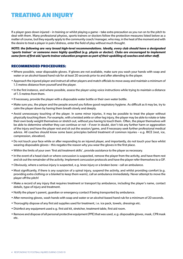## **TREATING AN INJURY**

If a player goes down injured – in training or whilst playing a game – take extra precaution as you run on to the pitch to deal with them. Many professional physios, sports trainers or doctors follow the protection measures listed below as a matter of course, but they equally apply to the community coach/manager, who may, in the heat of the moment and with the desire to treat a player in pain/distress, enter the field of play without much thought.

*NOTE: the following are very broad high-level recommendations. Ideally, every club should have a designated 'sports trainer' or someone more highly qualified (e.g. physio or doctor). Clubs are encouraged to implement some form of first aid/sports trainer education program as part of their upskilling of coaches and other staff.*

#### **RECOMMENDED PROCEDURES:**

- Where possible, wear disposable gloves. If gloves are not available, make sure you wash your hands with soap and water or an alcohol-based hand rub for at least 20 seconds prior to and after attending to the player.
- Approach the injured player and instruct all other players and match officials to move away and maintain a minimum of 1.5 metres distance from yourself and the player.
- In the first instance, and where possible, assess the player using voice instructions while trying to maintain a distance of 1.5 metres from them.
- If necessary, provide the player with a disposable water bottle or their own water bottle.
- Make sure you, the player and the people around you follow good respiratory hygiene. As difficult as it may be, try to calm the player down by having them breath slowly and deeply.
- Avoid unnecessary touching of the player. In some minor injuries, it may be possible to treat the player without physically touching them. For example, with a twisted ankle or other leg injury, the player may be able to rotate or take their own body weight themselves or stretch out, without you having to touch them. Often, the player themselves will be able to determine whether they can continue or not – if ever in doubt, don't risk any further harm or aggravation of the injury and have the player rest and sit out the session/game, and if necessary seek further professional medical advice. All coaches should know some basic principles behind treatment of common injuries – e.g. RICE (rest, ice, compression, elevation).
- Do not touch your face while or after responding to an injured player, and importantly, do not touch your face whilst wearing disposable gloves – this negates the reason why you wear the gloves in the first place.
- Within the limits of your own 'first aid treatment skills', provide assistance to the player as necessary.
- In the event of a head clash or where concussion is suspected, remove the player from the activity, and have them rest and sit out the remainder of the activity. Implement concussion protocols and have the player refer themselves to a GP.
- Obviously, where a serious injury is suspected, e.g. knee injury or a broken bone call an ambulance.
- Most significantly, if there is any suspicion of a spinal injury, suspend the activity, and whilst providing comfort (e.g. providing extra clothing or a blanket to keep them warm), call an ambulance immediately. Never attempt to move the player off the pitch!
- Make a record of any injury that requires treatment or transport by ambulance, including the player's name, contact details, type of injury and treatment.
- Notify the player's parent, guardian or emergency contact if being transported by ambulance.
- After removing gloves, wash hands with soap and water or an alcohol-based hand rub for a minimum of 20 seconds.
- Thoroughly dispose of any first aid supplies used for treatment, i.e. ice pack, towels, dressings etc.
- Disinfect any equipment used e.g. first aid kit, stretcher, treatment table, first aid room.
- Remove and dispose of all personal protective equipment (PPE) that was used, e.g. disposable gloves, mask, CPR mask etc.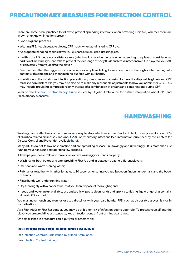## **PRECAUTIONARY MEASURES FOR INFECTION CONTROL**

There are some basic practices to follow to prevent spreading infections when providing First Aid, whether there are known or unknown infections present:

- Good hygiene practices.
- Wearing PPE, i.e. disposable gloves, CPR masks when administering CPR etc.
- Appropriate handling of clinical waste, i.e. sharps, fluids, used dressings etc.
- If within the 1.5 metre social distance rule (which will usually be the case when attending to a player), consider what additional measures you can take to prevent the exchange of body fluids and cross infection from the player to yourself, or conversely from yourself to the player.
- Keep in mind that the biggest risk of all is one as simple as failing to wash our hands thoroughly after coming into contact with someone and then touching our face with our hands.
- In addition to the usual cross infection precautionary measures such as using barriers like disposable gloves and CPR masks to administer CPR, you may also decide to make any reasonable adjustments to how you administer CPR. This may include providing compressions only, instead of a combination of breaths and compressions during CPR.

Refer to the [Infection Control Handy Guide](https://www.stjohnvic.com.au/media/2198/st-john-covid-19-infection-control-handy-guide.pdf) issued by St John Ambulance for further information about PPE and Precautionary Measures.

## **HANDWASHING**

Washing hands effectively is the number one way to stop infections in their tracks. In fact, it can prevent about 30% of diarrhea related sicknesses and about 20% of respiratory infections (see information published by the Centers for Disease Control and Prevention available [here\)](https://www.cdc.gov/handwashing/why-handwashing.html).

Many adults do not follow best practice and are spreading disease unknowingly and unwittingly. It is more than just running your hands underwater for a few seconds.

A few tips you should follow to make sure you are washing your hands properly:

- Wash hands both before and after providing First Aid and in between treating different players;
- Use soap and warm running water;
- Rub hands together with lather for at least 20 seconds, ensuring you rub between fingers, under nails and the backs of hands;
- Rinse hands well under running water;
- Dry thoroughly with a paper towel that you then dispose of thoroughly; and
- If soap and water are unavailable, use antiseptic wipes to clean hands and apply a sanitising liquid or gel that contains at least 60% alcohol.

You must never touch any wounds or used dressings with your bare hands. PPE, such as disposable gloves, is vital in such situations.

As a First Aider or First Responder, you may be at higher risk of infection due to your role. To protect yourself and the player you are providing assistance to, keep infection control front of mind at all times.

One small lapse in procedure could put you or others at risk.

#### **INFECTION CONTROL GUIDE AND TRAINING**

Free [Infection Control Guide issued by St John Ambulance](https://www.stjohnvic.com.au/media/2198/st-john-covid-19-infection-control-handy-guide.pdf)

Free [Infection Control Training](https://www.health.gov.au/resources/apps-and-tools/covid-19-infection-control-training#other-infection-control-training)